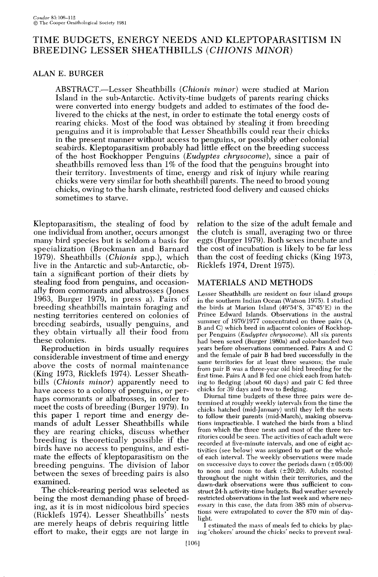# **TIME BUDGETS, ENERGY NEEDS AND KLEPTOPARASITISM IN**  BREEDING LESSER SHEATHBILLS (CHIONIS MINOR)

# **ALAN E. BURGER**

**ABSTRACT.-Lesser Sheathbills (Chionis minor) were studied at Marion Island in the sub-Antarctic. Activity-time budgets of parents rearing chicks were converted into energy budgets and added to estimates of the food delivered to the chicks at the nest, in order to estimate the total energy costs of rearing chicks. Most of the food was obtained by stealing it from breeding penguins and it is improbable that Lesser Sheathbills could rear their chicks in the present manner without access to penguins, or possibly other colonial seabirds. Kleptoparasitism probably had little effect on the breeding success of the host Rockhopper Penguins (Eudyptes chrysocome), since a pair of sheathbills removed less than 1% of the food that the penguins brought into their territory. Investments of time, energy and risk of injury while rearing chicks were very similar for both sheathbill parents. The need to brood young chicks, owing to the harsh climate, restricted food delivery and caused chicks sometimes to starve.** 

**Kleptoparasitism, the stealing of food by one individual from another, occurs amongst many bird species but is seldom a basis for specialization (Brockmann and Barnard 1979). Sheathbills (Chionis spp.), which live in the Antarctic and sub-Antarctic, obtain a significant portion of their diets by stealing food from penguins, and occasionally from cormorants and albatrosses (Jones 1963, Burger 1979, in press a). Pairs of breeding sheathbills maintain foraging and nesting territories centered on colonies of breeding seabirds, usually penguins, and they obtain virtually all their food from these colonies.** 

**Reproduction in birds usually requires considerable investment of time and energy above the costs of normal maintenance (King 1973, Ricklefs 1974). Lesser Sheathbills (Chionis minor) apparently need to have access to a colony of penguins, or perhaps cormorants or albatrosses, in order to meet the costs of breeding (Burger 1979). In this paper I report time and energy demands of adult Lesser Sheathbills while they are rearing chicks, discuss whether breeding is theoretically possible if the birds have no access to penguins, and estimate the effects of kleptoparasitism on the breeding penguins. The division of labor between the sexes of breeding pairs is also examined.** 

**The chick-rearing period was selected as being the most demanding phase of breeding, as it is in most nidicolous bird species (Ricklefs 1974). Lesser Sheathbills' nests are merely heaps of debris requiring little effort to make, their eggs are not large in** 

**relation to the size of the adult female and the clutch is small, averaging two or three eggs (Burger 1979). Both sexes incubate and the cost of incubation is likely to be far less than the cost of feeding chicks (King 1973, Ricklefs 1974, Drent 1975).** 

# **MATERIALS AND METHODS**

**Lesser Sheathbills are resident on four island groups in the southern Indian Ocean (Watson 1975). I studied the birds at Marion Island (46°54'S, 37°45'E) in the Prince Edward Islands. Observations in the austral summer of 1976/1977 concentrated on three pairs (A, B and C) which bred in adjacent colonies of Rockhopper Penguins (Eudyptes chrysocome). All six parents had been sexed (Burger 1980a) and color-banded two years before observations commenced. Pairs A and C and the female of pair B had bred successfully in the same territories for at least three seasons; the male from pair B was a three-year old bird breeding for the first time. Pairs A and B fed one chick each from hatching to fledging (about 60 days) and pair C fed three chicks for 39 days and two to fledging.** 

**Diurnal time budgets of these three pairs were determined at roughly weekly intervals from the time the chicks hatched (mid-January) until they left the nests to follow their parents (mid-March), making observations impracticable. I watched the birds from a blind from which the three nests and most of the three territories could be seen. The activities of each adult were recorded at five-minute intervals, and one of eight activities (see below) was assigned to part or the whole of each interval. The weekly observations were made**  on successive days to cover the periods dawn  $(\pm 05:00)$ to noon and noon to dark (±20:20). Adults roosted **throughout the night within their territories, and the dawn-dark observations were thus sufficient to construct 24-h activity-time budgets. Bad weather severely restricted observations in the last week and where necessary in this case, the data from 385 min of observations were extrapolated to cover the 870 min of daylight.** 

**I estimated the mass of meals fed to chicks by plac**ing 'chokers' around the chicks' necks to prevent swal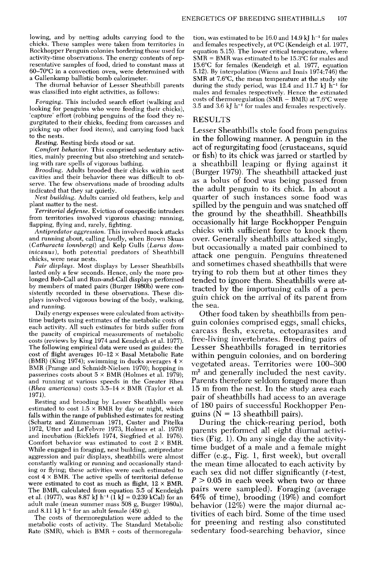**lowing, and by netting adults carrying food to the chicks. These samples were taken from territories in Rockhopper Penguin colonies bordering those used for resentative samples of food, dried to constant mass at 60-70°C in a convection oven, were determined with a Gallenkamp ballistic bomb calorimeter.** 

**The diurnal behavior of Lesser Sheathbill parents was classified into eight activities, as follows:** 

looking for penguins who were feeding their chicks), 'capture' effort (robbing penguins of the food they rerequire enote (tooonig penguins of the lood they re-<br>gurgitated to their chicks, feeding from carcasses and **RESULTS picking up other food items), and carrying food back to the nests.** 

**Resting. Resting birds stood or sat.**  ities, mainly preening but also stretching and scratch**ing with rare spells of vigorous bathing.** 

**Brooding. Adults brooded their chicks within nest cavities and their behavior there was difficult to ob serve. The few observations made of brooding adults as a bolus of food was being passed from indicated that they sat quietly. the adult penguin to its chick. In about a** 

**plant matter to the nest.** 

**Territorial defense. Eviction of conspecific intruders**  *ferritorial defense.* **Eviction of conspecific intruders the ground by the sheathbill. Sheathbills from territories involved vigorous chasing: running,**  $\mathbf{u} = \mathbf{u} \cdot \mathbf{v}$ 

**and running about, calling loudly, when Brown Skuas**  (Catharacta lonnbergi) and Kelp Gulls (Larus dom**inicanus), both potential predators of Sheathbill** 

lasted only a few seconds. Hence, only the more pro**longed Bob-Call and Run-and-Call displays performed by members of mated pairs (Burger 1980b) were consistently recorded in these observations. These dis- tracted by the importuning calls of a penplays involved in these observations.** These dis-<br>
plays involved vigorous bowing of the body, walking, <br> **plays in the sea.**<br> **plays in the sea.** and running.

**Daily energy expenses were calculated from activitytime budgets using estimates of the metabolic costs of each activity. All such estimates for birds suffer from**  each activity. All such estimates for birds suffer from<br>the paucity of empirical measurements of metabolic costs (reviews by King 1974 and Kendeigh et al. 1977)<br>costs (reviews by King 1974 and Kendeigh et al. 1977) free-li **costs (reviews by King 1974 and Kendeigh et al. 1977). free-living invertebrates. Breeding pairs of**  The following empirical data were used as guides: the **cost of flight averages lo-12 x Basal Metabolic Rate (BMR) (King 1974); swimming in ducks averages 4 x BMR (Prange and Schmidt-Nielsen 1970); hopping in vegetated areas. Territories were 100-300**  passerines costs about 5 × BMR (Holmes et al. 1970); m<sup>2</sup> and generally included the nest cavity.<br>passerines costs about 5 × BMR (Holmes et al. 1979); <br>and running at various speeds in the Greater Rhea Parents therefore se and running at various speeds in the Greater Rhea **(Rhea americana) costs 3.5-14 x BMR (Taylor et al. 1971).** 

**Resting and brooding by Lesser Sheathbills were**  resung and brooding by Lesser Sneathbills were of 180 pairs of successful Rockhopper Penestimated to cost 1.5  $\times$  BMR by day or night, which  $\frac{1}{2}$  and  $\frac{1}{2}$  sheathbill pairs). falls within the range of published estimates for resting **(Schartz and Zimmerman 1971, Custer and Pitelka 1972, Utter and LeFebvre 1973, Holmes et al. 1979) and incubation (Ricklefs 1974, Siegfried et al. 1976):**  and incubation (Micklets 1974, Siegmed et al. 1976). ties (Fig. 1). On any single day the activity-<br>Comfort behavior was estimated to cost  $2 \times$  BMR. **While engaged in foraging, nest building, antipredator time budget of a male and a female might** while engaged in foraging, nest building, antipredator **agency** of a male and a female might **agency** of the agency of the aggression and pair displays, sheathbills were almost **constantly walking or running and occasionally standing or flying; these activities were each estimated to cost 4 x BMR. The active spells of territorial defense were estimated to cost as much as flight, 12**  $\times$  **BMR.**  $P > 0.05$  in each week when two or three estimated to cost as much as flight, 12  $\times$  BMR. calculated from equation 5.5 of Kendeigh pairs were sampled). Foraging (a The BMR, calculated from equation 5.5 of Kendeigh et al. (1977), was 8.87 kJ h<sup>-1</sup> (1 kJ = 0.239 kCal) for an **adult male (mean summer mass 508 g, Burger 1980a),**  and 8.11 kJ  $h^{-1}$  for an adult female (450 g).

**metabolic costs of activity. The Standard Metabolic for preening and resting also constituted Rate (SMR), which is BMR + costs of thermoregula- sedentary food-searching behavior, since** 

**tion, was estimated to be 16.0 and 14.9 kJ h-i for males and females respectively, at 0°C (Kendeigh et al. 1977, equation 5.15). The lower critical temperature, where**   $\overline{\text{SMR}} = \text{BMR}$  was estimated to be 15.3 $\degree$ C for males and **15.6"C for females (Kendeigh et al. 1977, equation 5.12). Bv interoolation (Wiens and Innis 1974:746) the**  SMR at 7.6°C, the mean temperature at the study site during the study period, was  $12.4$  and  $11.7$  kJ h<sup>-1</sup> for **males and females respectively. Hence the estimated Foraging.** This included search effort (walking and <sup>costs of thermoregulation (SMR – BMR) at 7.6°C were plainting who were feading their objects. 3.5 and 3.6 kJ h<sup>-1</sup> for males and females respectively.</sup>

**Lesser Sheathbills stole food from penguins in the following manner. A penguin in the**  act of regurgitating food (crustaceans, squid or fish) to its chick was jarred or startled by **a sheathbill leaping or flying against it (Burger 1979). The sheathbill attacked just Nest building. Adults carried old feathers, kelp and quarter of such instances some food was spilled by the penguin and was snatched off flapping, flying and, rarely, fighting. occasionally hit large Rockhopper Penguin**  chicks with sufficient force to knock them **over. Generally sheathbills attacked singly, but occasionally a mated pair combined to**  *chicks, were near nests. attack one penguin. Penguins threatened* chicks, were near nests. *Pair displaus* Most displays by Lesser Sheathbills and sometimes chased sheathbills that were **Pair displuys. Most displays by Lesser Sheathbills and sometimes chased sheathbills that were tended to ignore them. Sheathbills were at-**

> **Other food taken by sheathbills from penguin colonies comprised eggs, small chicks, within penguin colonies, and on bordering 15 m from the nest. In the study area each pair of sheathbills had access to an average**

**During the chick-rearing period, both parents performed all eight diurnal activithe mean time allocated to each activity by each sex did not differ significantly (t-test, 64% of time), brooding (19%) and comfort behavior (12%) were the major diurnal ac-The costs of thermoregulation were added to the tivities of each bird. Some of the time used**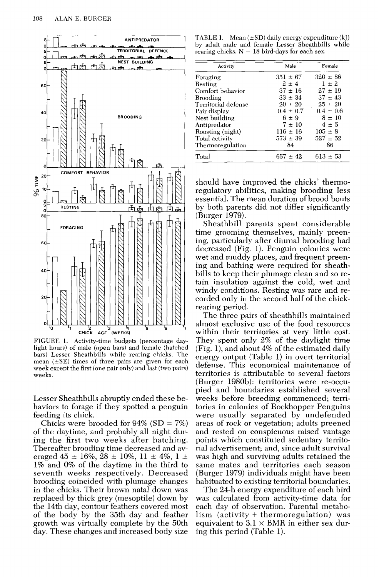

**FIGURE 1. Activity-time budgets (percentage daylight hours) of male (open bars) and female (hatched bars) Lesser Sheathbills while rearing chicks. The**  mean  $(\pm SE)$  times of three pairs are given for each **week except the first (one pair only) and last (two pairs) weeks.** 

**Lesser Sheathbills abruptly ended these behaviors to forage if they spotted a penguin feeding its chick.** 

**Chicks were brooded for 94% (SD = 7%) of the daytime, and probably all night during the first two weeks after hatching. Thereafter brooding time decreased and av**eraged  $45 \pm 16\%, 28 \pm 10\%, 11 \pm 4\%, 1 \pm 10\%$ **1% and 0% of the daytime in the third to seventh weeks respectively. Decreased brooding coincided with plumage changes in the chicks. Their brown natal down was replaced by thick grey (mesoptile) down by the 14th day, contour feathers covered most of the body by the 35th day and feather growth was virtually complete by the 50th day. These changes and increased body size** 

**TABLE 1.** Mean  $(\pm SD)$  daily energy expenditure  $(kJ)$ **by adult male and female Lesser Sheathbills while rearing chicks. N = 18 bird-days for each sex.** 

| Activity            | Male         | Female       |
|---------------------|--------------|--------------|
| Foraging            | $351 \pm 67$ | $320 \pm 86$ |
| Resting             | $2 \pm 4$    | $1 + 2$      |
| Comfort behavior    | $37 + 16$    | $27 \pm 19$  |
| Brooding            | $33 \pm 34$  | $37 \pm 43$  |
| Territorial defense | $20 \pm 20$  | $25 \pm 20$  |
| Pair display        | $0.4 + 0.7$  | $0.4 + 0.6$  |
| Nest building       | $6 \pm 9$    | $8 \pm 10$   |
| Antipredator        | $7 \pm 10$   | $4 \pm 5$    |
| Roosting (night)    | $116 \pm 16$ | $105 \pm 8$  |
| Total activity      | $573 \pm 39$ | $527 + 52$   |
| Thermoregulation    | 84           | 86           |
| Total               | $657 \pm 42$ | $613 \pm 53$ |
|                     |              |              |

**should have improved the chicks' thermoregulatory abilities, making brooding less essential. The mean duration of brood bouts by both parents did not differ significantly (Burger 1979).** 

**Sheathbill parents spent considerable time grooming themselves, mainly preening, particularly after diurnal brooding had decreased (Fig. 1). Penguin colonies were wet and muddy places, and frequent preening and bathing were required for sheathbills to keep their plumage clean and so retain insulation against the cold, wet and windy conditions. Resting was rare and recorded only in the second half of the chickrearing period.** 

**The three pairs of sheathbills maintained almost exclusive use of the food resources within their territories at very little cost. They spent only 2% of the daylight time (Fig. l), and about 4% of the estimated daily energy output (Table 1) in overt territorial defense. This economical maintenance of territories is attributable to several factors (Burger 1980b): territories were re-occupied and boundaries established several weeks before breeding commenced; territories in colonies of Rockhopper Penguins were usually separated by undefended areas of rock or vegetation; adults preened and rested on conspicuous raised vantage points which constituted sedentary territorial advertisement; and, since adult survival was high and surviving adults retained the same mates and territories each season (Burger 1979) individuals might have been habituated to existing territorial boundaries.** 

**The 24-h energy expenditure of each bird was calculated from activity-time data for each day of observation. Parental metabolism (activity + thermoregulation) was**  equivalent to  $3.1 \times$  BMR in either sex dur**ing this period (Table 1).**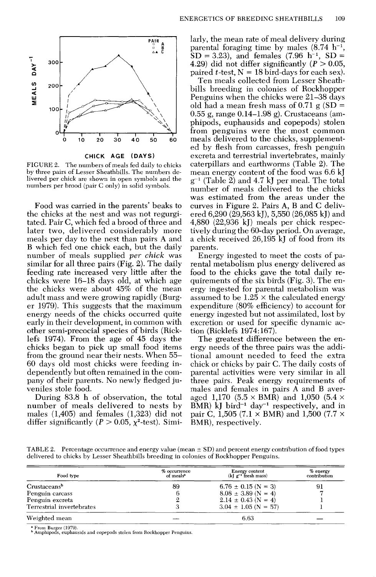

**CHICK AGE (DAYS)** 

**FIGURE 2. The numbers of meals fed daily to chicks by three pairs of Lesser Sheathbills. The numbers delivered per chick are shown in open symbols and the numbers per brood (pair C only) in solid symbols.** 

**Food was carried in the parents' beaks to the chicks at the nest and was not regurgitated. Pair C, which fed a brood of three and later two, delivered considerably more meals per day to the nest than pairs A and B which fed one chick each, but the daily number of meals supplied per chick was similar for all three pairs (Fig. 2). The daily feeding rate increased very little after the chicks were 16-18 days old, at which age the chicks were about 45% of the mean adult mass and were growing rapidly (Burger 1979). This suggests that the maximum energy needs of the chicks occurred quite early in their development, in common with other semi-precocial species of birds (Ricklefs 1974). From the age of 45 days the chicks began to pick up small food items from the ground near their nests. When 55- 60 days old most chicks were feeding independently but often remained in the company of their parents. No newly fledged juveniles stole food.** 

**During 83.8 h of observation, the total number of meals delivered to nests by males (1,405) and females (1,323) did not**  differ significantly  $(P > 0.05, \chi^2$ -test). Simi**larly, the mean rate of meal delivery during parental foraging time by males (8.74 h-l,**   $SD = 3.23$ ), and females  $(7.96 \text{ h}^{-1}, SD =$ 4.29) did not differ significantly ( $P > 0.05$ , paired *t*-test,  $N = 18$  bird-days for each sex).

**Ten meals collected from Lesser Sheathbills breeding in colonies of Rockhopper Penguins when the chicks were 21-38 days old had a mean fresh mass of 0.71 g (SD = 0.55 g, range 0.14-1.98 g). Crustaceans (amphipods, euphausids and copepods) stolen from penguins were the most common meals delivered to the chicks, supplemented by flesh from carcasses, fresh penguin excreta and terrestrial invertebrates, mainly caterpillars and earthworms (Table 2). The mean energy content of the food was 6.6 kJ g-l (Table 2) and 4.7 kJ per meal. The total number of meals delivered to the chicks was estimated from the areas under the curves in Figure 2. Pairs A, B and C delivered 6,290 (29,563 kJ), 5,550 (26,085 kJ) and 4,880 (22,936 kJ) meals per chick respectively during the 60-day period. On average, a chick received 26,195 kJ of food from its parents.** 

**Energy ingested to meet the costs of parental metabolism plus energy delivered as food to the chicks gave the total daily requirements of the six birds (Fig. 3). The energy ingested for parental metabolism was assumed to be 1.25 x the calculated energy expenditure (80% efficiency) to account for energy ingested but not assimilated, lost by excretion or used for specific dynamic action (Ricklefs 1974: 167).** 

**The greatest difference between the energy needs of the three pairs was the additional amount needed to feed the extra chick or chicks by pair C. The daily costs of parental activities were very similar in all three pairs. Peak energy requirements of males and females in pairs A and B averaged 1,170 (5.5 x BMR) and 1,050 (5.4 x BMR) kJ bird-' day-' respectively, and in pair C, 1,505 (7.1 x BMR) and 1,500 (7.7 X BMR), respectively.** 

**TABLE 2.** Percentage occurrence and energy value (mean  $\pm$  SD) and percent energy contribution of food types **delivered to chicks by Lesser Sheathbills breeding in colonies of Rockhopper Penguins.** 

| Food type                 | % occurrence<br>of meals <sup>a</sup> | <b>Energy content</b><br>$(kIg^{-1}$ fresh mass) | $%$ energy<br>contribution |
|---------------------------|---------------------------------------|--------------------------------------------------|----------------------------|
| Crustaceans <sup>b</sup>  | 89                                    | $6.76 \pm 0.15$ (N = 3)                          | 91                         |
| Penguin carcass           |                                       | $8.08 \pm 3.89$ (N = 4)                          |                            |
| Penguin excreta           |                                       | $2.14 \pm 0.43$ (N = 4)                          |                            |
| Terrestrial invertebrates |                                       | $3.04 \pm 1.05$ (N = 57)                         |                            |
| Weighted mean             |                                       | 6.63                                             |                            |

**<sup>a</sup> From Burger (1979).<br><sup>b</sup> Amphipods, euphausids and copepods stolen from Rockhopper Penguins**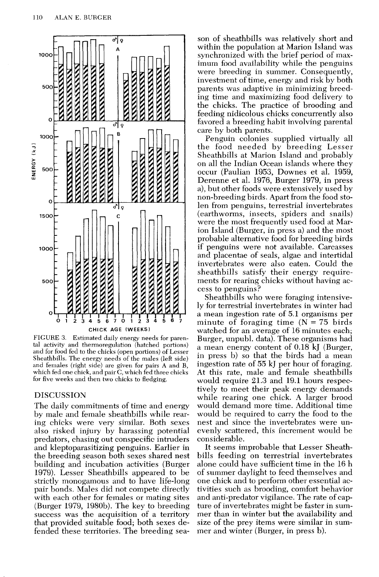

**FIGURE 3. Estimated daily energy needs for parental activity and thermoregulation (hatched portions) and for food fed to the chicks (open portions) of Lesser Sheathbills. The energy needs of the males (left side) and females (right side) are given for pairs A and B, which fed one chick, and pair C, which fed three chicks for five weeks and then two chicks to fledging.** 

## **DISCUSSION**

**The daily commitments of time and energy by male and female sheathbills while rearing chicks were very similar. Both sexes also risked injury by harassing potential predators, chasing out conspecific intruders and kleptoparasitizing penguins. Earlier in the breeding season both sexes shared nest building and incubation activities (Burger 1979). Lesser Sheathbills appeared to be strictly monogamous and to have life-long pair bonds. Males did not compete directly with each other for females or mating sites (Burger 1979, 1980b). The key to breeding success was the acquisition of a territory that provided suitable food; both sexes defended these territories. The breeding sea-**

**son of sheathbills was relatively short and within the population at Marion Island was synchronized with the brief period of maximum food availability while the penguins were breeding in summer. Consequently, investment of time, energy and risk by both parents was adaptive in minimizing breeding time and maximizing food delivery to the chicks. The practice of brooding and feeding nidicolous chicks concurrently also favored a breeding habit involving parental care by both parents.** 

**Penguin colonies supplied virtually all the food needed by breeding Lesser Sheathbills at Marion Island and probably on all the Indian Ocean islands where they occur (Paulian 1953, Downes et al. 1959, Derenne et al. 1976, Burger 1979, in press a), but other foods were extensively used by non-breeding birds. Apart from the food stolen from penguins, terrestrial invertebrates (earthworms, insects, spiders and snails) were the most frequently used food at Marion Island (Burger, in press a) and the most probable alternative food for breeding birds if penguins were not available. Carcasses and placentae of seals, algae and intertidal invertebrates were also eaten. Could the sheathbills satisfy their energy requirements for rearing chicks without having access to penguins?** 

**Sheathbills who were foraging intensively for terrestrial invertebrates in winter had a mean ingestion rate of 5.1 organisms per minute of foraging time (N = 75 birds watched for an average of 16 minutes each; Burger, unpubl. data). These organisms had a mean energy content of 0.18 kJ (Burger, in press b) so that the birds had a mean ingestion rate of 55 kJ per hour of foraging. At this rate, male and female sheathbills would require 21.3 and 19.1 hours respectively to meet their peak energy demands while rearing one chick. A larger brood would demand more time. Additional time would be required to carry the food to the nest and since the invertebrates were unevenly scattered, this increment would be considerable.** 

**It seems improbable that Lesser Sheathbills feeding on terrestrial invertebrates alone could have sufficient time in the 16 h of summer daylight to feed themselves and one chick and to perform other essential activities such as brooding, comfort behavior and anti-predator vigilance. The rate of capture of invertebrates might be faster in summer than in winter but the availability and size of the prey items were similar in summer and winter (Burger, in press b).**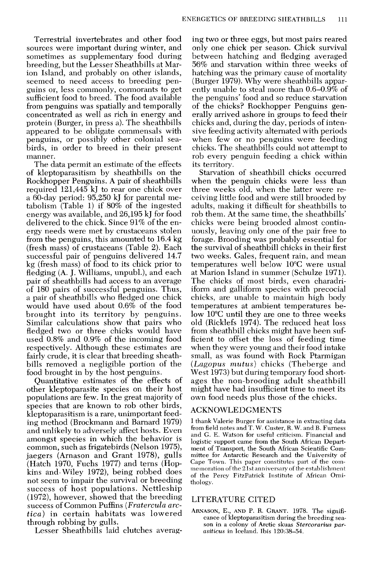**Terrestrial invertebrates and other food sources were important during winter, and sometimes as supplementary food during breeding, but the Lesser Sheathbills at Marion Island, and probably on other islands, seemed to need access to breeding penguins or, less commonly, cormorants to get sufficient food to breed. The food available from penguins was spatially and temporally concentrated as well as rich in energy and protein (Burger, in press a). The sheathbills appeared to be obligate commensals with penguins, or possibly other colonial seabirds, in order to breed in their present manner.** 

**The data permit an estimate of the effects of kleptoparasitism by sheathbills on the Rockhopper Penguins. A pair of sheathbills required 121,445 kJ to rear one chick over a 60-day period: 95,250 kJ for parental metabolism (Table 1) if 80% of the ingested energy was available, and 26,195 kJ for food delivered to the chick. Since 91% of the energy needs were met by crustaceans stolen from the penguins, this amounted to 16.4 kg (fresh mass) of crustaceans (Table 2). Each successful pair of penguins delivered 14.7 kg (fresh mass) of food to its chick prior to fledging (A. J. Williams, unpubl.), and each pair of sheathbills had access to an average of 180 pairs of successful penguins. Thus, a pair of sheathbills who fledged one chick would have used about 0.6% of the food brought into its territory by penguins. Similar calculations show that pairs who fledged two or three chicks would have used 0.8% and 0.9% of the incoming food respectively. Although these estimates are fairly crude, it is clear that breeding sheathbills removed a negligible portion of the food brought in by the host penguins.** 

**Quantitative estimates of the effects of other kleptoparasite species on their host populations are few. In the great majority of species that are known to rob other birds, kleptoparasitism is a rare, unimportant feeding method (Brockmann and Barnard 1979) and unlikely to adversely affect hosts. Even amongst species in which the behavior is common, such as frigatebirds (Nelson 1975), jaegers (Arnason and Grant 1978), gulls (Hatch 1970, Fuchs 1977) and terns (Hopkins and, Wiley 1972), being robbed does not seem to impair the survival or breeding success of host populations. Nettleship (1972), however, showed that the breeding success of Common Puffins (Frutercula arctica) in certain habitats was lowered through robbing by gulls.** 

**Lesser Sheathbills laid clutches averag-**

**ing two or three eggs, but most pairs reared only one chick per season. Chick survival between hatching and fledging averaged 56% and starvation within three weeks of hatching was the primary cause of mortality (Burger 1979). Why were sheathbills apparently unable to steal more than 0.6-0.9% of the penguins' food and so reduce starvation of the chicks? Rockhopper Penguins generally arrived ashore in groups to feed their chicks and, during the day, periods of intensive feeding activity alternated with periods when few or no penguins were feeding chicks. The sheathbills could not attempt to rob every penguin feeding a chick within its territory.** 

**Starvation of sheathbill chicks occurred when the penguin chicks were less than three weeks old, when the latter were receiving little food and were still brooded by adults, making it difficult for sheathbills to rob them. At the same time, the sheathbills' chicks were being brooded almost continuously, leaving only one of the pair free to forage. Brooding was probably essential for the survival of sheathbill chicks in their first two weeks. Gales, frequent rain, and mean temperatures well below 10°C were usual at Marion Island in summer (Schulze 1971). The chicks of most birds, even charadriiform and galliform species with precocial chicks, are unable to maintain high body temperatures at ambient temperatures below 10°C until they are one to three weeks old (Ricklefs 1974). The reduced heat loss from sheathbill chicks might have been sufficient to offset the loss of feeding time when they were young and their food intake small, as was found with Rock Ptarmigan (Lagopus mutus) chicks (Theberge and West 1973) but during temporary food shortages the non-brooding adult sheathbill might have had insufficient time to meet its own food needs plus those of the chicks.** 

### **ACKNOWLEDGMENTS**

**I thank Valerie Burger for assistance in extracting data from field notes and T. W. Custer, R. W. and B. Furness and G. E. Watson for useful criticism. Financial and logistic support came from the South African Department of Transport, the South African Scientific Committee for Antarctic Research and the University of Cape Town. This paper constitutes part of the commemoration ofthe 2lstanniversary ofthe establishment of the Percy Fitzpatrick Institute of African Ornithology.** 

## **LITERATURE CITED**

ARNASON, E., AND P. R. GRANT. 1978. The signifi**cance of kleptoparasitism during the breeding season in a colony of Arctic skuas Stercorarius parasiticus in Iceland. Ibis 120:38-54.**